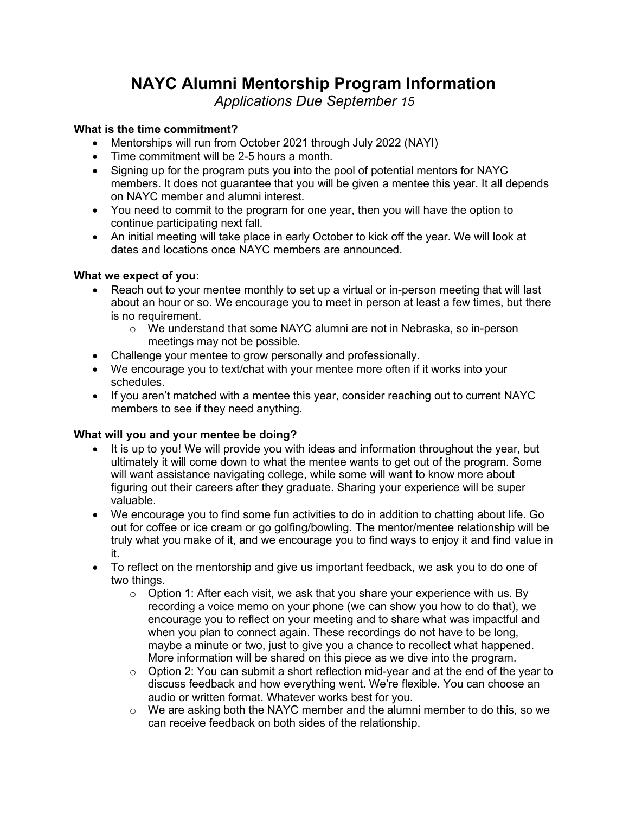## **NAYC Alumni Mentorship Program Information**

*Applications Due September 15*

## **What is the time commitment?**

- Mentorships will run from October 2021 through July 2022 (NAYI)
- Time commitment will be 2-5 hours a month.
- Signing up for the program puts you into the pool of potential mentors for NAYC members. It does not guarantee that you will be given a mentee this year. It all depends on NAYC member and alumni interest.
- You need to commit to the program for one year, then you will have the option to continue participating next fall.
- An initial meeting will take place in early October to kick off the year. We will look at dates and locations once NAYC members are announced.

## **What we expect of you:**

- Reach out to your mentee monthly to set up a virtual or in-person meeting that will last about an hour or so. We encourage you to meet in person at least a few times, but there is no requirement.
	- o We understand that some NAYC alumni are not in Nebraska, so in-person meetings may not be possible.
- Challenge your mentee to grow personally and professionally.
- We encourage you to text/chat with your mentee more often if it works into your schedules.
- If you aren't matched with a mentee this year, consider reaching out to current NAYC members to see if they need anything.

## **What will you and your mentee be doing?**

- It is up to you! We will provide you with ideas and information throughout the year, but ultimately it will come down to what the mentee wants to get out of the program. Some will want assistance navigating college, while some will want to know more about figuring out their careers after they graduate. Sharing your experience will be super valuable.
- We encourage you to find some fun activities to do in addition to chatting about life. Go out for coffee or ice cream or go golfing/bowling. The mentor/mentee relationship will be truly what you make of it, and we encourage you to find ways to enjoy it and find value in it.
- To reflect on the mentorship and give us important feedback, we ask you to do one of two things.
	- $\circ$  Option 1: After each visit, we ask that you share your experience with us. By recording a voice memo on your phone (we can show you how to do that), we encourage you to reflect on your meeting and to share what was impactful and when you plan to connect again. These recordings do not have to be long, maybe a minute or two, just to give you a chance to recollect what happened. More information will be shared on this piece as we dive into the program.
	- $\circ$  Option 2: You can submit a short reflection mid-year and at the end of the year to discuss feedback and how everything went. We're flexible. You can choose an audio or written format. Whatever works best for you.
	- o We are asking both the NAYC member and the alumni member to do this, so we can receive feedback on both sides of the relationship.